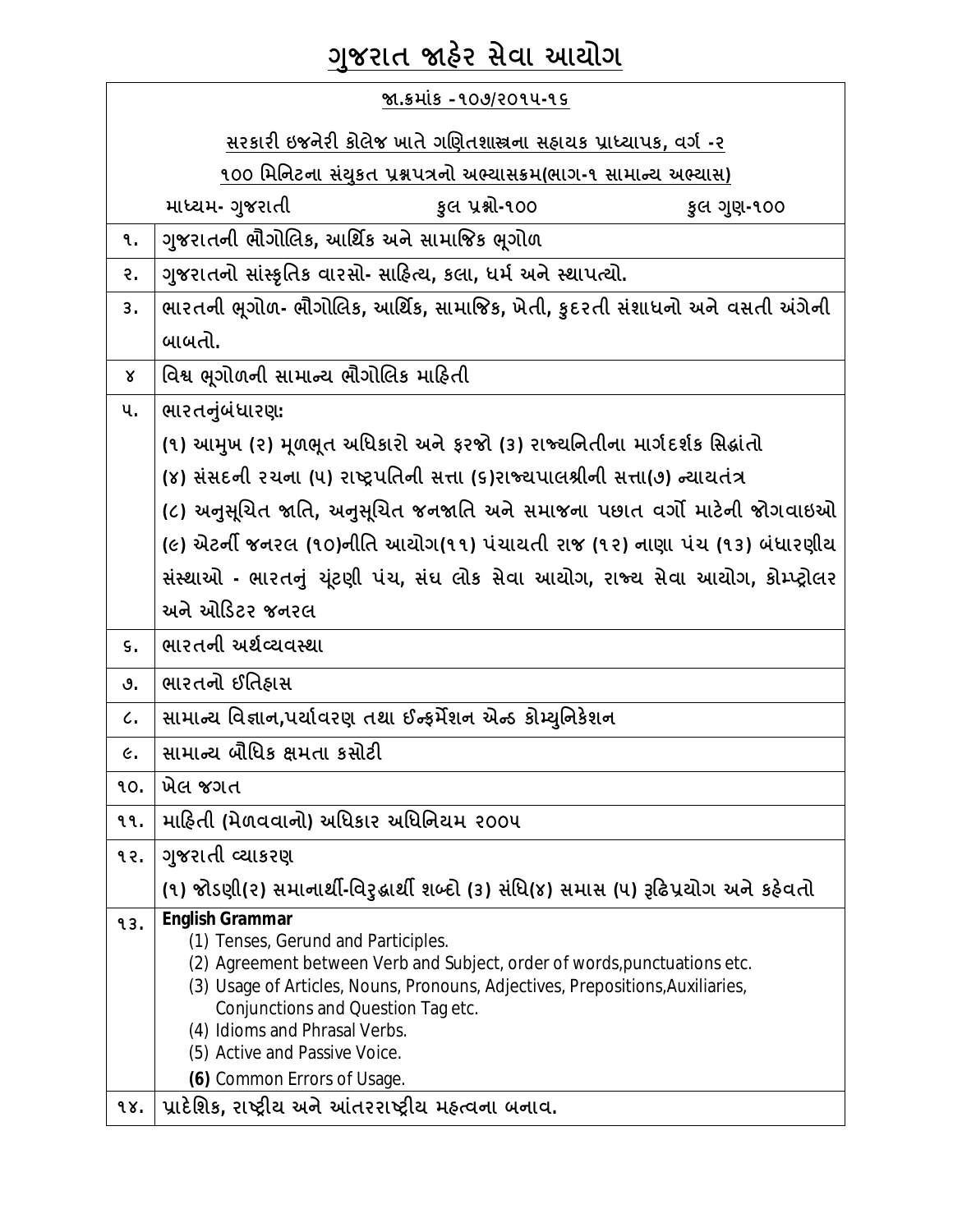# **Ȥુજરાત Ĥહ°ર સેવા આયોગ**

| જા.ક્રમાંક –૧૦૭/૨૦૧૫-૧૬ |                                                                                                                                                                                                                                                                                                                                      |
|-------------------------|--------------------------------------------------------------------------------------------------------------------------------------------------------------------------------------------------------------------------------------------------------------------------------------------------------------------------------------|
|                         | <u>સરકારી ઇજનેરી કોલેજ ખાતે ગણિતશાસ્ત્રના સહ્યયક પ્રાધ્યાપક, વર્ગ -૨</u>                                                                                                                                                                                                                                                             |
|                         | ૧૦૦ મિનિટના સંયુકત પ્રશ્નપત્રનો અભ્યાસક્રમ(ભાગ-૧ સામાન્ય અભ્યાસ)                                                                                                                                                                                                                                                                     |
|                         | માધ્યમ- ગુજરાતી<br>કુલ પ્રશ્નો-૧૦૦<br>કુલ ગુણ-૧૦૦                                                                                                                                                                                                                                                                                    |
| ٩.                      | ગુજરાતની ભૌગોલિક, આર્થિક અને સામાજિક ભૂગોળ                                                                                                                                                                                                                                                                                           |
| २.                      | ગુજરાતનો સાંસ્કૃતિક વારસો- સાહિત્ય, કલા, ધર્મ અને સ્થાપત્યો.                                                                                                                                                                                                                                                                         |
| 3.                      | ભારતની ભૂગોળ- ભૌગોલિક, આર્થિક, સામાજિક, ખેતી, કુદરતી સંશાધનો અને વસતી અંગેની                                                                                                                                                                                                                                                         |
|                         | બાબતો.                                                                                                                                                                                                                                                                                                                               |
| γ                       | વિશ્વ ભૂગોળની સામાન્ય ભૌગોલિક માહિતી                                                                                                                                                                                                                                                                                                 |
| પ.                      | ભારતનુંબંધારણ:                                                                                                                                                                                                                                                                                                                       |
|                         | (૧) આમુખ (૨) મૂળભૂત અધિકારો અને ફરજો (૩) રાજ્યનિતીના માર્ગદર્શક સિદ્ધાંતો                                                                                                                                                                                                                                                            |
|                         | (૪) સંસદની ૨ચના (૫) રાષ્ટ્રપતિની સત્તા (૬)રાજ્યપાલશ્રીની સત્તા(૭) ન્યાયતંત્ર                                                                                                                                                                                                                                                         |
|                         | (૮) અનુસૂચિત જાતિ, અનુસૂચિત જનજાતિ અને સમાજના પછાત વર્ગો માટેની જોગવાઇઓ                                                                                                                                                                                                                                                              |
|                         | (૯) એટર્ની જનરલ (૧૦)નીતિ આયોગ(૧૧) પંચાયતી રાજ (૧૨) નાણા પંચ (૧૩) બંધારણીય                                                                                                                                                                                                                                                            |
|                         | સંસ્થાઓ - ભારતનું યૂંટણી પંચ, સંઘ લોક સેવા આયોગ, રાજ્ય સેવા આયોગ, કોમ્પ્ટ્રોલર                                                                                                                                                                                                                                                       |
|                         | અને ઓડિટર જનરલ                                                                                                                                                                                                                                                                                                                       |
| $\mathsf{S}$ .          | ભારતની અર્થવ્યવસ્થા                                                                                                                                                                                                                                                                                                                  |
| ৩.                      | ભારતનો ઈતિહ્નસ                                                                                                                                                                                                                                                                                                                       |
| $\mathcal{C}$ .         | સામાન્ય વિજ્ઞાન,પર્યાવરણ તથા ઈન્ફર્મેશન એન્ડ કોમ્યુનિકેશન                                                                                                                                                                                                                                                                            |
| $\epsilon$ .            | સામાન્ય બૌધિક ક્ષમતા કસોટી                                                                                                                                                                                                                                                                                                           |
| 90.                     | ખેલ જગત                                                                                                                                                                                                                                                                                                                              |
| ११.                     | માહિતી (મેળવવાનો) અધિકાર અધિનિયમ ૨૦૦૫                                                                                                                                                                                                                                                                                                |
| १२.                     | ગુજરાતી વ્યાકરણ                                                                                                                                                                                                                                                                                                                      |
|                         | (૧) જોડણી(૨) સમાનાર્થી-વિરુદ્ધાર્થી શબ્દો (૩) સંધિ(૪) સમાસ (૫) રૂઢિપ્રયોગ અને કઠેવતો                                                                                                                                                                                                                                                 |
| 93.                     | <b>English Grammar</b><br>(1) Tenses, Gerund and Participles.<br>(2) Agreement between Verb and Subject, order of words, punctuations etc.<br>(3) Usage of Articles, Nouns, Pronouns, Adjectives, Prepositions, Auxiliaries,<br>Conjunctions and Question Tag etc.<br>(4) Idioms and Phrasal Verbs.<br>(5) Active and Passive Voice. |
| 98.                     | (6) Common Errors of Usage.<br>પ્રાદેશિક, રાષ્ટ્રીય અને આંતરરાષ્ટ્રીય મહ્ત્વના બનાવ.                                                                                                                                                                                                                                                 |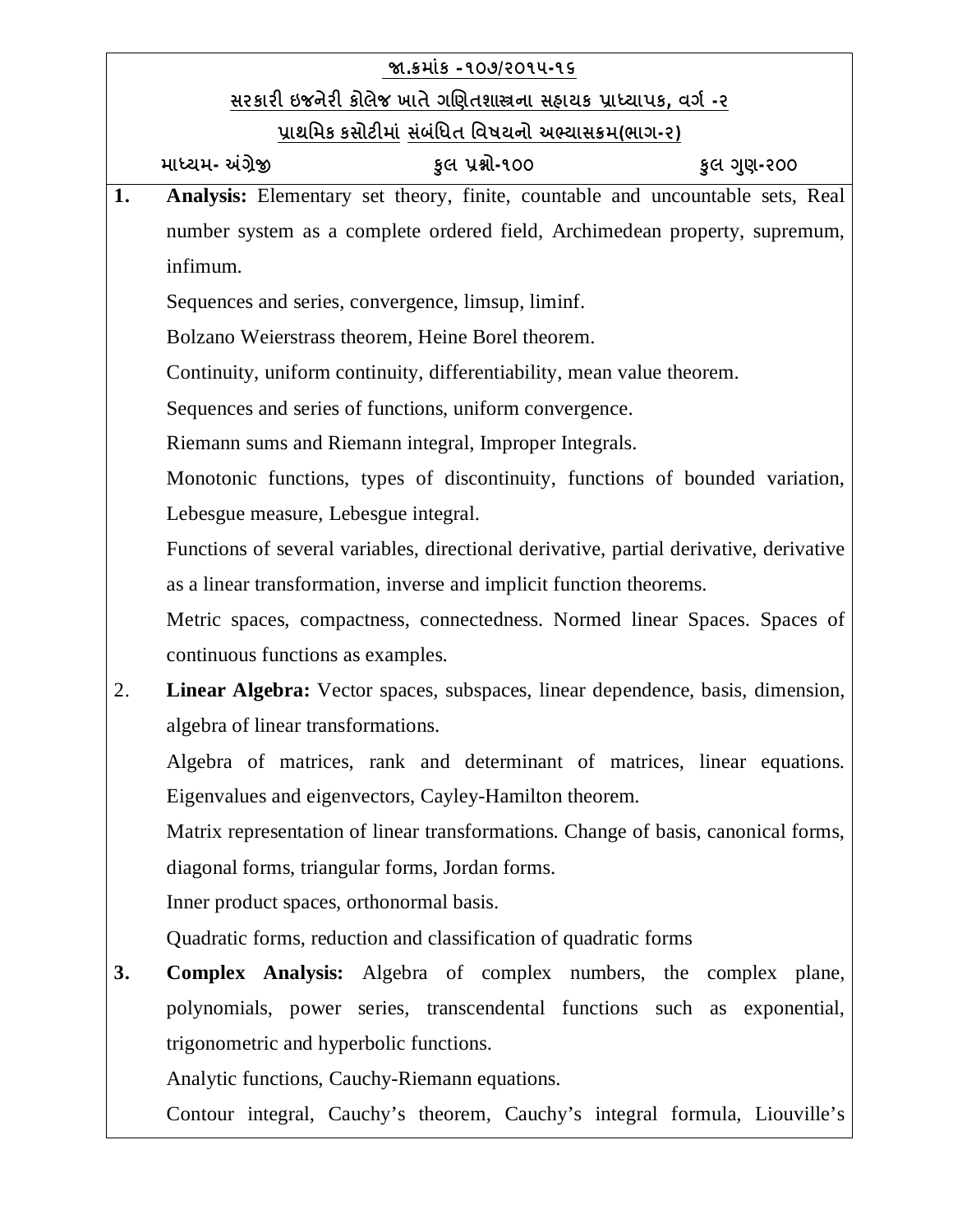|    | જા.કમાંક –૧૦૭/૨૦૧૫-૧૬                                                                  |
|----|----------------------------------------------------------------------------------------|
|    | <u>સરકારી ઇજનેરી કોલેજ ખાતે ગણિતશાસ્ત્રના સહ્યયક પ્રાધ્યાપક, વર્ગ -૨</u>               |
|    | પ્રાથમિક કસોટીમાં સંબંધિત <u>વિષયનો અભ્યાસક્રમ(ભાગ-૨)</u>                              |
|    | માધ્યમ- અંગ્રેજી<br>કુલ પ્રશ્નો-૧૦૦<br>કુલ ગુણ-૨૦૦                                     |
| 1. | Analysis: Elementary set theory, finite, countable and uncountable sets, Real          |
|    | number system as a complete ordered field, Archimedean property, supremum,             |
|    | infimum.                                                                               |
|    | Sequences and series, convergence, limsup, liminf.                                     |
|    | Bolzano Weierstrass theorem, Heine Borel theorem.                                      |
|    | Continuity, uniform continuity, differentiability, mean value theorem.                 |
|    | Sequences and series of functions, uniform convergence.                                |
|    | Riemann sums and Riemann integral, Improper Integrals.                                 |
|    | Monotonic functions, types of discontinuity, functions of bounded variation,           |
|    | Lebesgue measure, Lebesgue integral.                                                   |
|    | Functions of several variables, directional derivative, partial derivative, derivative |
|    | as a linear transformation, inverse and implicit function theorems.                    |
|    | Metric spaces, compactness, connectedness. Normed linear Spaces. Spaces of             |
|    | continuous functions as examples.                                                      |
| 2. | Linear Algebra: Vector spaces, subspaces, linear dependence, basis, dimension,         |
|    | algebra of linear transformations.                                                     |
|    | Algebra of matrices, rank and determinant of matrices, linear equations.               |
|    | Eigenvalues and eigenvectors, Cayley-Hamilton theorem.                                 |
|    | Matrix representation of linear transformations. Change of basis, canonical forms,     |
|    | diagonal forms, triangular forms, Jordan forms.                                        |
|    | Inner product spaces, orthonormal basis.                                               |
|    | Quadratic forms, reduction and classification of quadratic forms                       |
| 3. | <b>Complex Analysis:</b> Algebra of complex numbers, the complex plane,                |
|    | polynomials, power series, transcendental functions such as exponential,               |
|    | trigonometric and hyperbolic functions.                                                |
|    | Analytic functions, Cauchy-Riemann equations.                                          |

Contour integral, Cauchy's theorem, Cauchy's integral formula, Liouville's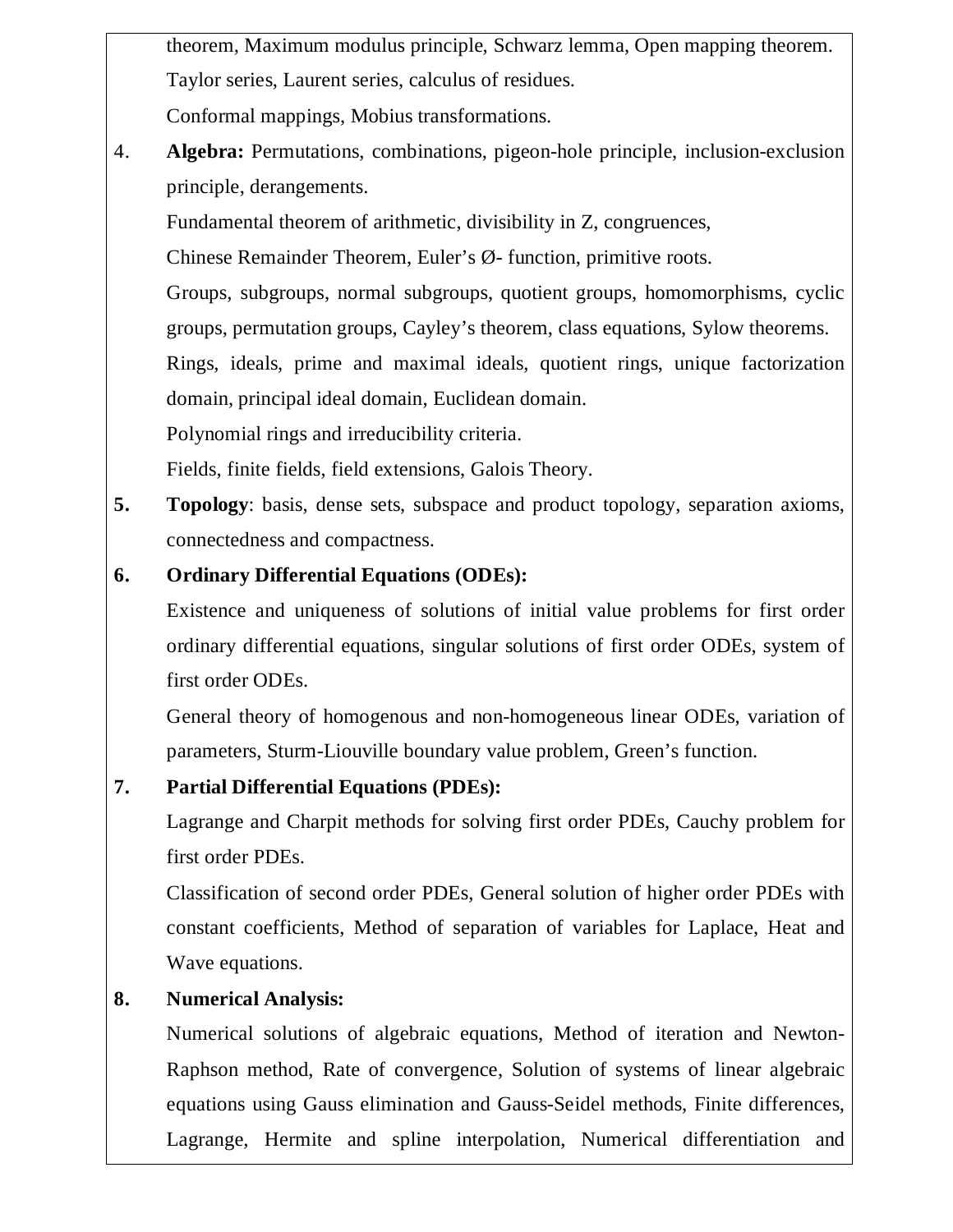theorem, Maximum modulus principle, Schwarz lemma, Open mapping theorem. Taylor series, Laurent series, calculus of residues.

Conformal mappings, Mobius transformations.

4. **Algebra:** Permutations, combinations, pigeon-hole principle, inclusion-exclusion principle, derangements.

Fundamental theorem of arithmetic, divisibility in Z, congruences,

Chinese Remainder Theorem, Euler's Ø- function, primitive roots.

Groups, subgroups, normal subgroups, quotient groups, homomorphisms, cyclic groups, permutation groups, Cayley's theorem, class equations, Sylow theorems.

Rings, ideals, prime and maximal ideals, quotient rings, unique factorization domain, principal ideal domain, Euclidean domain.

Polynomial rings and irreducibility criteria.

Fields, finite fields, field extensions, Galois Theory.

**5. Topology**: basis, dense sets, subspace and product topology, separation axioms, connectedness and compactness.

# **6. Ordinary Differential Equations (ODEs):**

Existence and uniqueness of solutions of initial value problems for first order ordinary differential equations, singular solutions of first order ODEs, system of first order ODEs.

General theory of homogenous and non-homogeneous linear ODEs, variation of parameters, Sturm-Liouville boundary value problem, Green's function.

# **7. Partial Differential Equations (PDEs):**

Lagrange and Charpit methods for solving first order PDEs, Cauchy problem for first order PDEs.

Classification of second order PDEs, General solution of higher order PDEs with constant coefficients, Method of separation of variables for Laplace, Heat and Wave equations.

# **8. Numerical Analysis:**

Numerical solutions of algebraic equations, Method of iteration and Newton-Raphson method, Rate of convergence, Solution of systems of linear algebraic equations using Gauss elimination and Gauss-Seidel methods, Finite differences, Lagrange, Hermite and spline interpolation, Numerical differentiation and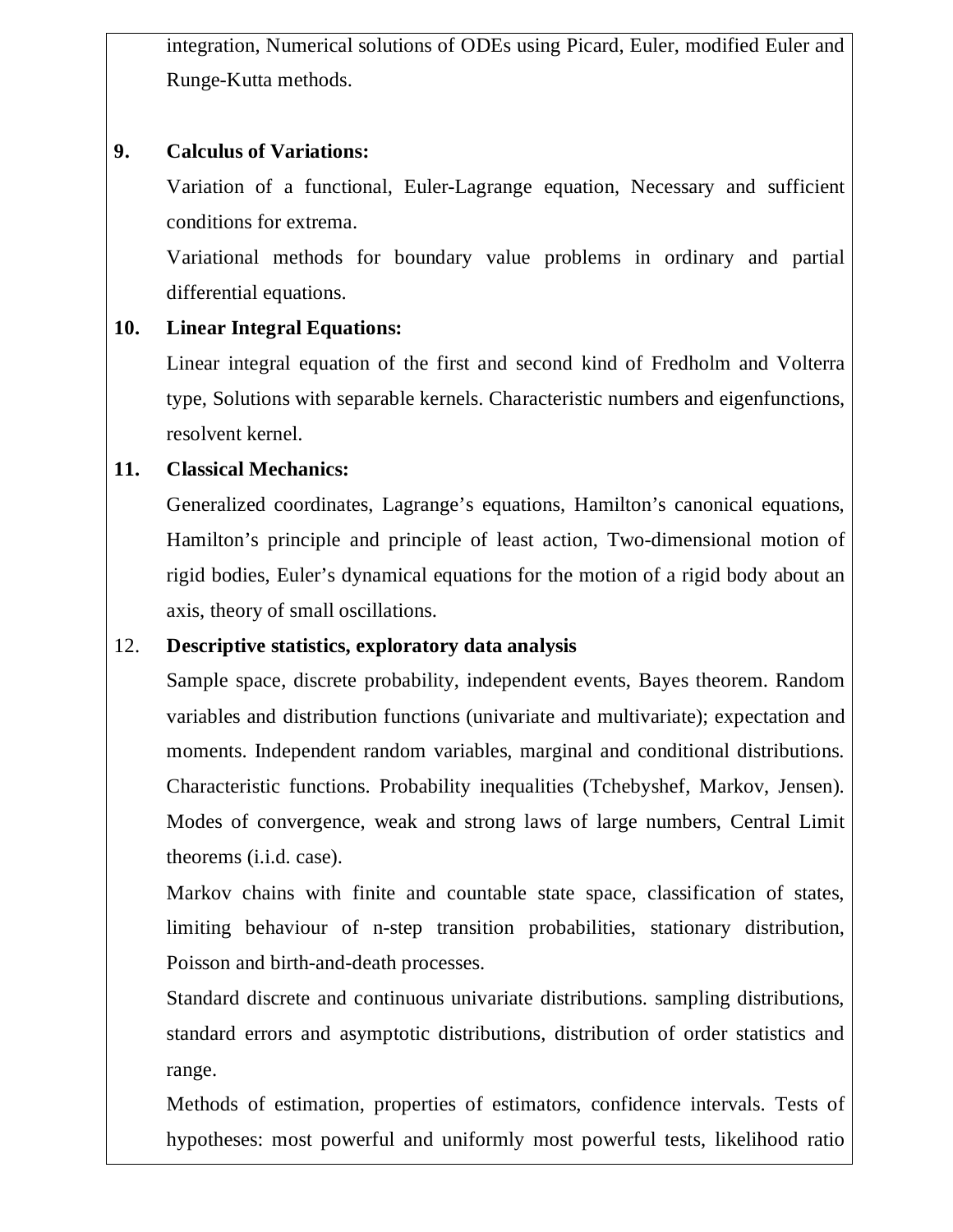integration, Numerical solutions of ODEs using Picard, Euler, modified Euler and Runge-Kutta methods.

#### **9. Calculus of Variations:**

Variation of a functional, Euler-Lagrange equation, Necessary and sufficient conditions for extrema.

Variational methods for boundary value problems in ordinary and partial differential equations.

## **10. Linear Integral Equations:**

Linear integral equation of the first and second kind of Fredholm and Volterra type, Solutions with separable kernels. Characteristic numbers and eigenfunctions, resolvent kernel.

#### **11. Classical Mechanics:**

Generalized coordinates, Lagrange's equations, Hamilton's canonical equations, Hamilton's principle and principle of least action, Two-dimensional motion of rigid bodies, Euler's dynamical equations for the motion of a rigid body about an axis, theory of small oscillations.

## 12. **Descriptive statistics, exploratory data analysis**

Sample space, discrete probability, independent events, Bayes theorem. Random variables and distribution functions (univariate and multivariate); expectation and moments. Independent random variables, marginal and conditional distributions. Characteristic functions. Probability inequalities (Tchebyshef, Markov, Jensen). Modes of convergence, weak and strong laws of large numbers, Central Limit theorems (i.i.d. case).

Markov chains with finite and countable state space, classification of states, limiting behaviour of n-step transition probabilities, stationary distribution, Poisson and birth-and-death processes.

Standard discrete and continuous univariate distributions. sampling distributions, standard errors and asymptotic distributions, distribution of order statistics and range.

Methods of estimation, properties of estimators, confidence intervals. Tests of hypotheses: most powerful and uniformly most powerful tests, likelihood ratio